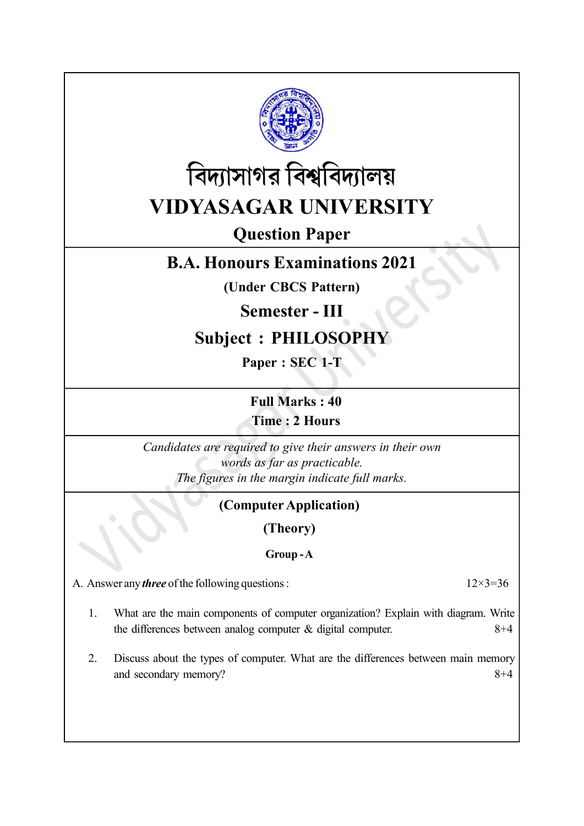



# Question Paper

# B.A. Honours Examinations 2021

(Under CBCS Pattern)

## Semester - III

## Subject : PHILOSOPHY

Paper : SEC 1-T

Full Marks : 40

Time : 2 Hours

Candidates are required to give their answers in their own words as far as practicable. The figures in the margin indicate full marks.

### (Computer Application)

(Theory)

#### Group - A

A. Answer any *three* of the following questions :  $12 \times 3 = 36$ 

- 1. What are the main components of computer organization? Explain with diagram. Write the differences between analog computer  $\&$  digital computer.  $8+4$
- 2. Discuss about the types of computer. What are the differences between main memory and secondary memory? 8+4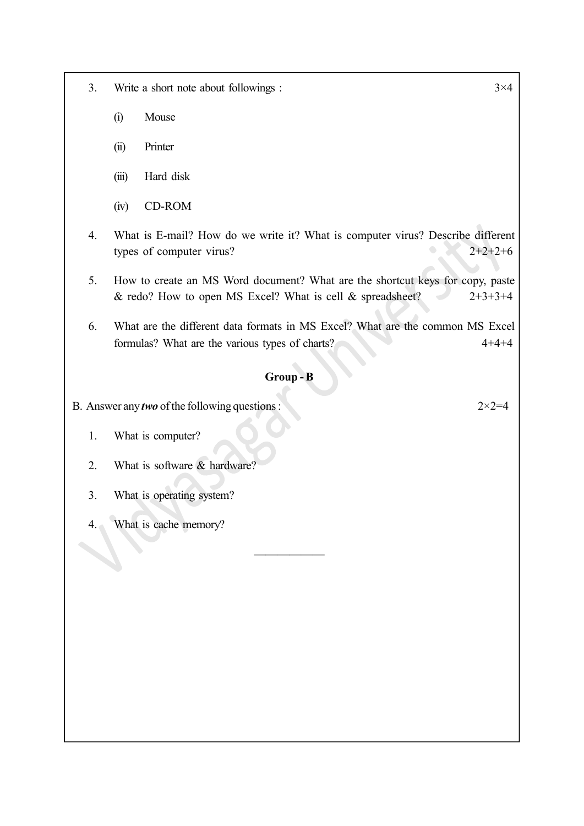- 3. Write a short note about followings :  $3 \times 4$ 
	- (i) Mouse
	- (ii) Printer
	- (iii) Hard disk
	- (iv) CD-ROM
- 4. What is E-mail? How do we write it? What is computer virus? Describe different types of computer virus?  $2+2+2+6$
- 5. How to create an MS Word document? What are the shortcut keys for copy, paste & redo? How to open MS Excel? What is cell & spreadsheet?  $2+3+3+4$
- 6. What are the different data formats in MS Excel? What are the common MS Excel formulas? What are the various types of charts? 4+4+4

#### Group - B

——————

B. Answer any *two* of the following questions :  $2 \times 2 = 4$ 

- 1. What is computer?
- 2. What is software & hardware?
- 3. What is operating system?
- 4. What is cache memory?